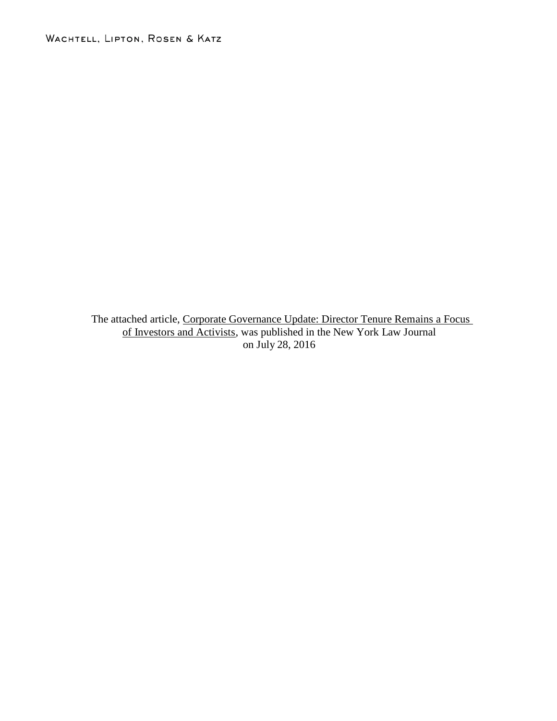WACHTELL, LIPTON, ROSEN & KATZ

The attached article, Corporate Governance Update: Director Tenure Remains a Focus of Investors and Activists, was published in the New York Law Journal on July 28, 2016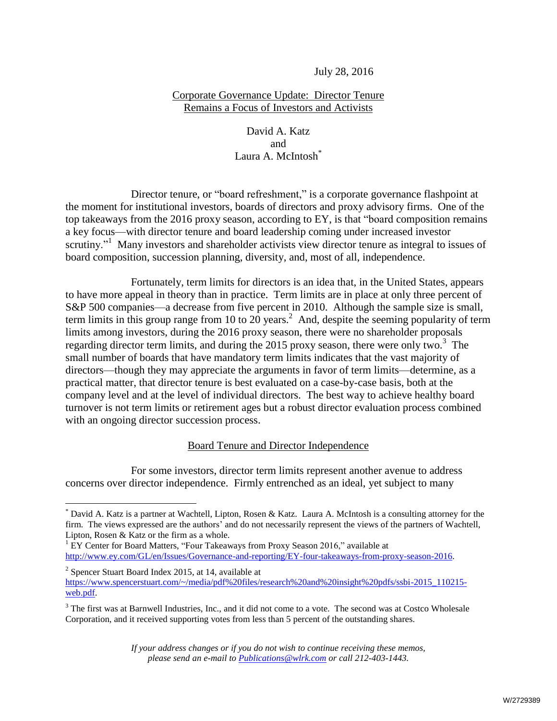July 28, 2016

## Corporate Governance Update: Director Tenure Remains a Focus of Investors and Activists

## David A. Katz and Laura A. McIntosh<sup>\*</sup>

Director tenure, or "board refreshment," is a corporate governance flashpoint at the moment for institutional investors, boards of directors and proxy advisory firms. One of the top takeaways from the 2016 proxy season, according to EY, is that "board composition remains a key focus—with director tenure and board leadership coming under increased investor scrutiny."<sup>1</sup> Many investors and shareholder activists view director tenure as integral to issues of board composition, succession planning, diversity, and, most of all, independence.

Fortunately, term limits for directors is an idea that, in the United States, appears to have more appeal in theory than in practice. Term limits are in place at only three percent of S&P 500 companies—a decrease from five percent in 2010. Although the sample size is small, term limits in this group range from 10 to 20 years.<sup>2</sup> And, despite the seeming popularity of term limits among investors, during the 2016 proxy season, there were no shareholder proposals regarding director term limits, and during the 2015 proxy season, there were only two. $3$  The small number of boards that have mandatory term limits indicates that the vast majority of directors—though they may appreciate the arguments in favor of term limits—determine, as a practical matter, that director tenure is best evaluated on a case-by-case basis, both at the company level and at the level of individual directors. The best way to achieve healthy board turnover is not term limits or retirement ages but a robust director evaluation process combined with an ongoing director succession process.

## Board Tenure and Director Independence

For some investors, director term limits represent another avenue to address concerns over director independence. Firmly entrenched as an ideal, yet subject to many

 $\overline{a}$ 

<sup>2</sup> Spencer Stuart Board Index 2015, at 14, available at [https://www.spencerstuart.com/~/media/pdf%20files/research%20and%20insight%20pdfs/ssbi-2015\\_110215](https://www.spencerstuart.com/~/media/pdf%20files/research%20and%20insight%20pdfs/ssbi-2015_110215-web.pdf) [web.pdf.](https://www.spencerstuart.com/~/media/pdf%20files/research%20and%20insight%20pdfs/ssbi-2015_110215-web.pdf) 

<sup>\*</sup> David A. Katz is a partner at Wachtell, Lipton, Rosen & Katz. Laura A. McIntosh is a consulting attorney for the firm. The views expressed are the authors' and do not necessarily represent the views of the partners of Wachtell, Lipton, Rosen & Katz or the firm as a whole.

 $1$  EY Center for Board Matters, "Four Takeaways from Proxy Season 2016," available at [http://www.ey.com/GL/en/Issues/Governance-and-reporting/EY-four-takeaways-from-proxy-season-2016.](http://www.ey.com/GL/en/Issues/Governance-and-reporting/EY-four-takeaways-from-proxy-season-2016)

<sup>&</sup>lt;sup>3</sup> The first was at Barnwell Industries, Inc., and it did not come to a vote. The second was at Costco Wholesale Corporation, and it received supporting votes from less than 5 percent of the outstanding shares.

*If your address changes or if you do not wish to continue receiving these memos, please send an e-mail to Publications@wlrk.com or call 212-403-1443.*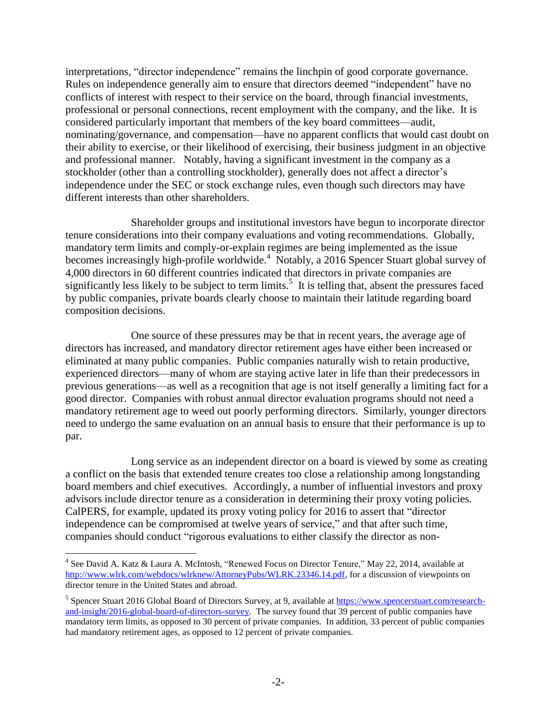interpretations, "director independence" remains the linchpin of good corporate governance. Rules on independence generally aim to ensure that directors deemed "independent" have no conflicts of interest with respect to their service on the board, through financial investments, professional or personal connections, recent employment with the company, and the like. It is considered particularly important that members of the key board committees—audit, nominating/governance, and compensation—have no apparent conflicts that would cast doubt on their ability to exercise, or their likelihood of exercising, their business judgment in an objective and professional manner. Notably, having a significant investment in the company as a stockholder (other than a controlling stockholder), generally does not affect a director's independence under the SEC or stock exchange rules, even though such directors may have different interests than other shareholders.

Shareholder groups and institutional investors have begun to incorporate director tenure considerations into their company evaluations and voting recommendations. Globally, mandatory term limits and comply-or-explain regimes are being implemented as the issue becomes increasingly high-profile worldwide.<sup>4</sup> Notably, a 2016 Spencer Stuart global survey of 4,000 directors in 60 different countries indicated that directors in private companies are significantly less likely to be subject to term limits.<sup>5</sup> It is telling that, absent the pressures faced by public companies, private boards clearly choose to maintain their latitude regarding board composition decisions.

One source of these pressures may be that in recent years, the average age of directors has increased, and mandatory director retirement ages have either been increased or eliminated at many public companies. Public companies naturally wish to retain productive, experienced directors—many of whom are staying active later in life than their predecessors in previous generations—as well as a recognition that age is not itself generally a limiting fact for a good director. Companies with robust annual director evaluation programs should not need a mandatory retirement age to weed out poorly performing directors. Similarly, younger directors need to undergo the same evaluation on an annual basis to ensure that their performance is up to par.

Long service as an independent director on a board is viewed by some as creating a conflict on the basis that extended tenure creates too close a relationship among longstanding board members and chief executives. Accordingly, a number of influential investors and proxy advisors include director tenure as a consideration in determining their proxy voting policies. CalPERS, for example, updated its proxy voting policy for 2016 to assert that "director independence can be compromised at twelve years of service," and that after such time, companies should conduct "rigorous evaluations to either classify the director as non-

 $\overline{a}$ 

<sup>&</sup>lt;sup>4</sup> See David A. Katz & Laura A. McIntosh, "Renewed Focus on Director Tenure," May 22, 2014, available at [http://www.wlrk.com/webdocs/wlrknew/AttorneyPubs/WLRK.23346.14.pdf,](http://www.wlrk.com/webdocs/wlrknew/AttorneyPubs/WLRK.23346.14.pdf) for a discussion of viewpoints on director tenure in the United States and abroad.

<sup>&</sup>lt;sup>5</sup> Spencer Stuart 2016 Global Board of Directors Survey, at 9, available at **[https://www.spencerstuart.com/research](https://www.spencerstuart.com/research-and-insight/2016-global-board-of-directors-survey)**[and-insight/2016-global-board-of-directors-survey.](https://www.spencerstuart.com/research-and-insight/2016-global-board-of-directors-survey) The survey found that 39 percent of public companies have mandatory term limits, as opposed to 30 percent of private companies. In addition, 33 percent of public companies had mandatory retirement ages, as opposed to 12 percent of private companies.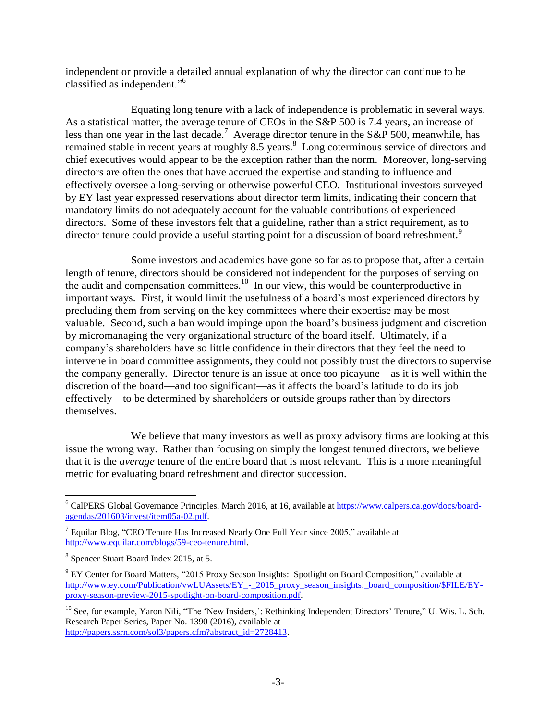independent or provide a detailed annual explanation of why the director can continue to be classified as independent."<sup>6</sup>

Equating long tenure with a lack of independence is problematic in several ways. As a statistical matter, the average tenure of CEOs in the S&P 500 is 7.4 years, an increase of less than one year in the last decade.<sup>7</sup> Average director tenure in the S&P 500, meanwhile, has remained stable in recent years at roughly  $8.5$  years.<sup>8</sup> Long coterminous service of directors and chief executives would appear to be the exception rather than the norm. Moreover, long-serving directors are often the ones that have accrued the expertise and standing to influence and effectively oversee a long-serving or otherwise powerful CEO. Institutional investors surveyed by EY last year expressed reservations about director term limits, indicating their concern that mandatory limits do not adequately account for the valuable contributions of experienced directors. Some of these investors felt that a guideline, rather than a strict requirement, as to director tenure could provide a useful starting point for a discussion of board refreshment.<sup>9</sup>

Some investors and academics have gone so far as to propose that, after a certain length of tenure, directors should be considered not independent for the purposes of serving on the audit and compensation committees.<sup>10</sup> In our view, this would be counterproductive in important ways. First, it would limit the usefulness of a board's most experienced directors by precluding them from serving on the key committees where their expertise may be most valuable. Second, such a ban would impinge upon the board's business judgment and discretion by micromanaging the very organizational structure of the board itself. Ultimately, if a company's shareholders have so little confidence in their directors that they feel the need to intervene in board committee assignments, they could not possibly trust the directors to supervise the company generally. Director tenure is an issue at once too picayune—as it is well within the discretion of the board—and too significant—as it affects the board's latitude to do its job effectively—to be determined by shareholders or outside groups rather than by directors themselves.

We believe that many investors as well as proxy advisory firms are looking at this issue the wrong way. Rather than focusing on simply the longest tenured directors, we believe that it is the *average* tenure of the entire board that is most relevant. This is a more meaningful metric for evaluating board refreshment and director succession.

 $\overline{a}$ 

<sup>&</sup>lt;sup>6</sup> CalPERS Global Governance Principles, March 2016, at 16, available at [https://www.calpers.ca.gov/docs/board](https://www.calpers.ca.gov/docs/board-agendas/201603/invest/item05a-02.pdf)[agendas/201603/invest/item05a-02.pdf.](https://www.calpers.ca.gov/docs/board-agendas/201603/invest/item05a-02.pdf)

 $7$  Equilar Blog, "CEO Tenure Has Increased Nearly One Full Year since 2005," available at [http://www.equilar.com/blogs/59-ceo-tenure.html.](http://www.equilar.com/blogs/59-ceo-tenure.html)

<sup>8</sup> Spencer Stuart Board Index 2015, at 5.

<sup>&</sup>lt;sup>9</sup> EY Center for Board Matters, "2015 Proxy Season Insights: Spotlight on Board Composition," available at http://www.ey.com/Publication/vwLUAssets/EY - 2015 proxy\_season\_insights:\_board\_composition/\$FILE/EY[proxy-season-preview-2015-spotlight-on-board-composition.pdf.](http://www.ey.com/Publication/vwLUAssets/EY_-_2015_proxy_season_insights:_board_composition/$FILE/EY-proxy-season-preview-2015-spotlight-on-board-composition.pdf)

<sup>&</sup>lt;sup>10</sup> See, for example, Yaron Nili, "The 'New Insiders,': Rethinking Independent Directors' Tenure," U. Wis. L. Sch. Research Paper Series, Paper No. 1390 (2016), available at [http://papers.ssrn.com/sol3/papers.cfm?abstract\\_id=2728413.](http://papers.ssrn.com/sol3/papers.cfm?abstract_id=2728413)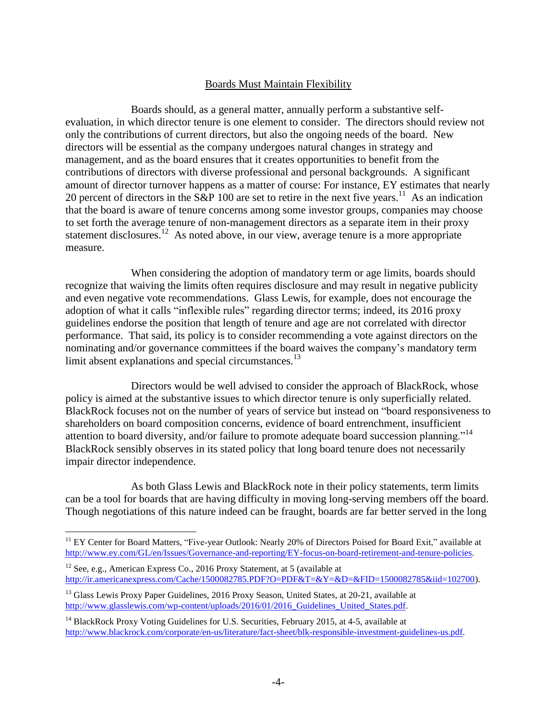## Boards Must Maintain Flexibility

Boards should, as a general matter, annually perform a substantive selfevaluation, in which director tenure is one element to consider. The directors should review not only the contributions of current directors, but also the ongoing needs of the board. New directors will be essential as the company undergoes natural changes in strategy and management, and as the board ensures that it creates opportunities to benefit from the contributions of directors with diverse professional and personal backgrounds. A significant amount of director turnover happens as a matter of course: For instance, EY estimates that nearly 20 percent of directors in the S&P 100 are set to retire in the next five years.<sup>11</sup> As an indication that the board is aware of tenure concerns among some investor groups, companies may choose to set forth the average tenure of non-management directors as a separate item in their proxy statement disclosures.<sup>12</sup> As noted above, in our view, average tenure is a more appropriate measure.

When considering the adoption of mandatory term or age limits, boards should recognize that waiving the limits often requires disclosure and may result in negative publicity and even negative vote recommendations. Glass Lewis, for example, does not encourage the adoption of what it calls "inflexible rules" regarding director terms; indeed, its 2016 proxy guidelines endorse the position that length of tenure and age are not correlated with director performance. That said, its policy is to consider recommending a vote against directors on the nominating and/or governance committees if the board waives the company's mandatory term limit absent explanations and special circumstances.<sup>13</sup>

Directors would be well advised to consider the approach of BlackRock, whose policy is aimed at the substantive issues to which director tenure is only superficially related. BlackRock focuses not on the number of years of service but instead on "board responsiveness to shareholders on board composition concerns, evidence of board entrenchment, insufficient attention to board diversity, and/or failure to promote adequate board succession planning."<sup>14</sup> BlackRock sensibly observes in its stated policy that long board tenure does not necessarily impair director independence.

As both Glass Lewis and BlackRock note in their policy statements, term limits can be a tool for boards that are having difficulty in moving long-serving members off the board. Though negotiations of this nature indeed can be fraught, boards are far better served in the long

 $\overline{a}$ 

<sup>&</sup>lt;sup>11</sup> EY Center for Board Matters, "Five-year Outlook: Nearly 20% of Directors Poised for Board Exit," available at [http://www.ey.com/GL/en/Issues/Governance-and-reporting/EY-focus-on-board-retirement-and-tenure-policies.](http://www.ey.com/GL/en/Issues/Governance-and-reporting/EY-focus-on-board-retirement-and-tenure-policies)

 $12$  See, e.g., American Express Co., 2016 Proxy Statement, at 5 (available at [http://ir.americanexpress.com/Cache/1500082785.PDF?O=PDF&T=&Y=&D=&FID=1500082785&iid=102700\)](http://ir.americanexpress.com/Cache/1500082785.PDF?O=PDF&T=&Y=&D=&FID=1500082785&iid=102700).

<sup>&</sup>lt;sup>13</sup> Glass Lewis Proxy Paper Guidelines, 2016 Proxy Season, United States, at 20-21, available at [http://www.glasslewis.com/wp-content/uploads/2016/01/2016\\_Guidelines\\_United\\_States.pdf.](http://www.glasslewis.com/wp-content/uploads/2016/01/2016_Guidelines_United_States.pdf)

<sup>&</sup>lt;sup>14</sup> BlackRock Proxy Voting Guidelines for U.S. Securities, February 2015, at 4-5, available at [http://www.blackrock.com/corporate/en-us/literature/fact-sheet/blk-responsible-investment-guidelines-us.pdf.](http://www.blackrock.com/corporate/en-us/literature/fact-sheet/blk-responsible-investment-guidelines-us.pdf)